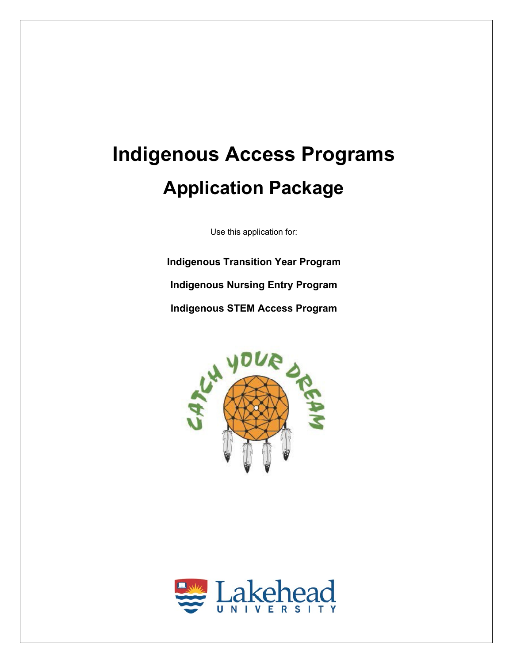# **Indigenous Access Programs Application Package**

Use this application for:

**Indigenous Transition Year Program Indigenous Nursing Entry Program Indigenous STEM Access Program**



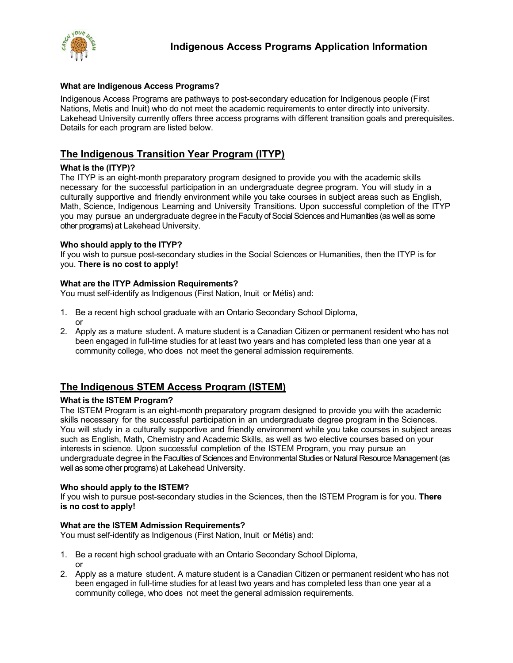

## **What are Indigenous Access Programs?**

Indigenous Access Programs are pathways to post-secondary education for Indigenous people (First Nations, Metis and Inuit) who do not meet the academic requirements to enter directly into university. Lakehead University currently offers three access programs with different transition goals and prerequisites. Details for each program are listed below.

# **The Indigenous Transition Year Program (ITYP)**

## **What is the (ITYP)?**

The ITYP is an eight-month preparatory program designed to provide you with the academic skills necessary for the successful participation in an undergraduate degree program. You will study in a culturally supportive and friendly environment while you take courses in subject areas such as English, Math, Science, Indigenous Learning and University Transitions. Upon successful completion of the ITYP you may pursue an undergraduate degree in the Faculty of Social Sciences and Humanities (as well as some other programs) at Lakehead University.

## **Who should apply to the ITYP?**

If you wish to pursue post-secondary studies in the Social Sciences or Humanities, then the ITYP is for you. **There is no cost to apply!**

## **What are the ITYP Admission Requirements?**

You must self-identify as Indigenous (First Nation, Inuit or Métis) and:

- 1. Be a recent high school graduate with an Ontario Secondary School Diploma, or
- 2. Apply as a mature student. A mature student is a Canadian Citizen or permanent resident who has not been engaged in full-time studies for at least two years and has completed less than one year at a community college, who does not meet the general admission requirements.

# **The Indigenous STEM Access Program (ISTEM)**

## **What is the ISTEM Program?**

The ISTEM Program is an eight-month preparatory program designed to provide you with the academic skills necessary for the successful participation in an undergraduate degree program in the Sciences. You will study in a culturally supportive and friendly environment while you take courses in subject areas such as English, Math, Chemistry and Academic Skills, as well as two elective courses based on your interests in science. Upon successful completion of the ISTEM Program, you may pursue an undergraduate degree in the Faculties of Sciences and Environmental Studies or Natural Resource Management (as well as some other programs) at Lakehead University.

#### **Who should apply to the ISTEM?**

If you wish to pursue post-secondary studies in the Sciences, then the ISTEM Program is for you. **There is no cost to apply!**

#### **What are the ISTEM Admission Requirements?**

You must self-identify as Indigenous (First Nation, Inuit or Métis) and:

- 1. Be a recent high school graduate with an Ontario Secondary School Diploma, or
- 2. Apply as a mature student. A mature student is a Canadian Citizen or permanent resident who has not been engaged in full-time studies for at least two years and has completed less than one year at a community college, who does not meet the general admission requirements.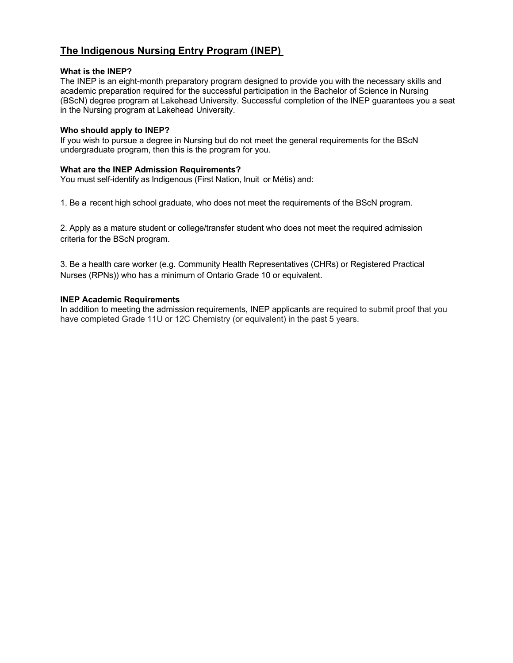# **The Indigenous Nursing Entry Program (INEP)**

## **What is the INEP?**

The INEP is an eight-month preparatory program designed to provide you with the necessary skills and academic preparation required for the successful participation in the Bachelor of Science in Nursing (BScN) degree program at Lakehead University. Successful completion of the INEP guarantees you a seat in the Nursing program at Lakehead University.

#### **Who should apply to INEP?**

If you wish to pursue a degree in Nursing but do not meet the general requirements for the BScN undergraduate program, then this is the program for you.

## **What are the INEP Admission Requirements?**

You must self-identify as Indigenous (First Nation, Inuit or Métis) and:

1. Be a recent high school graduate, who does not meet the requirements of the BScN program.

2. Apply as a mature student or college/transfer student who does not meet the required admission criteria for the BScN program.

3. Be a health care worker (e.g. Community Health Representatives (CHRs) or Registered Practical Nurses (RPNs)) who has a minimum of Ontario Grade 10 or equivalent.

## **INEP Academic Requirements**

In addition to meeting the admission requirements, INEP applicants are required to submit proof that you have completed Grade 11U or 12C Chemistry (or equivalent) in the past 5 years.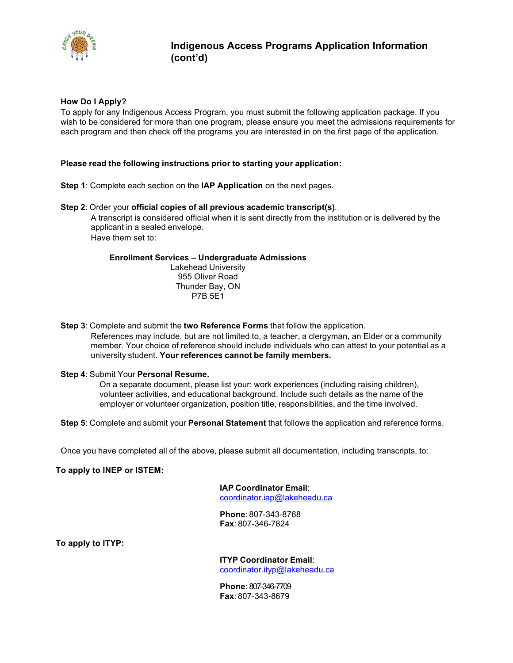

## **How Do I Apply?**

To apply for any Indigenous Access Program, you must submit the following application package. If you wish to be considered for more than one program, please ensure you meet the admissions requirements for each program and then check off the programs you are interested in on the first page of the application.

#### **Please read the following instructions prior to starting your application:**

**Step 1**: Complete each section on the **IAP Application** on the next pages.

#### **Step 2**: Order your **official copies of all previous academic transcript(s)**.

 A transcript is considered official when it is sent directly from the institution or is delivered by the applicant in a sealed envelope. Have them set to:

#### **Enrollment Services – Undergraduate Admissions**

Lakehead University 955 Oliver Road Thunder Bay, ON P7B 5E1

**Step 3**: Complete and submit the **two Reference Forms** that follow the application.

 References may include, but are not limited to, a teacher, a clergyman, an Elder or a community member. Your choice of reference should include individuals who can attest to your potential as a university student. **Your references cannot be family members.**

#### **Step 4**: Submit Your **Personal Resume.**

 On a separate document, please list your: work experiences (including raising children), volunteer activities, and educational background. Include such details as the name of the employer or volunteer organization, position title, responsibilities, and the time involved.

**Step 5**: Complete and submit your **Personal Statement** that follows the application and reference forms.

Once you have completed all of the above, please submit all documentation, including transcripts, to:

#### **To apply to INEP or ISTEM:**

**IAP Coordinator Email**: coordinator.iap@lakeheadu.ca

**Phone**: 807-343-8768 **Fax**: 807-346-7824

**To apply to ITYP:** 

## **ITYP Coordinator Email**:

coordinator.ityp@lakeheadu.ca

**Phone**: 807-346-7709 **Fax**: 807-343-8679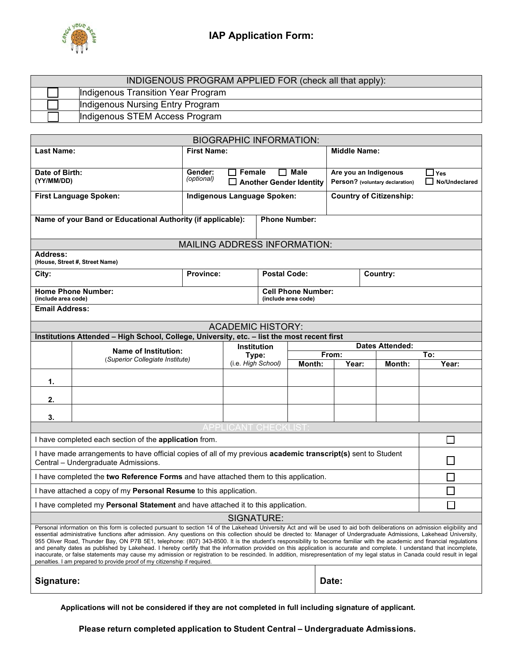

| INDIGENOUS PROGRAM APPLIED FOR (check all that apply): |                                    |  |  |  |  |  |
|--------------------------------------------------------|------------------------------------|--|--|--|--|--|
|                                                        | Indigenous Transition Year Program |  |  |  |  |  |
|                                                        | Indigenous Nursing Entry Program   |  |  |  |  |  |
|                                                        | Indigenous STEM Access Program     |  |  |  |  |  |

| <b>BIOGRAPHIC INFORMATION:</b>                                                                                                                                                                                                                                                                                                                                                                                                                                                                                                                                                                                                                                                                                                                                                                                                                                                                                                                                     |                                                                                             |                                     |                             |                     |                                                  |                |                                 |               |
|--------------------------------------------------------------------------------------------------------------------------------------------------------------------------------------------------------------------------------------------------------------------------------------------------------------------------------------------------------------------------------------------------------------------------------------------------------------------------------------------------------------------------------------------------------------------------------------------------------------------------------------------------------------------------------------------------------------------------------------------------------------------------------------------------------------------------------------------------------------------------------------------------------------------------------------------------------------------|---------------------------------------------------------------------------------------------|-------------------------------------|-----------------------------|---------------------|--------------------------------------------------|----------------|---------------------------------|---------------|
| <b>Last Name:</b>                                                                                                                                                                                                                                                                                                                                                                                                                                                                                                                                                                                                                                                                                                                                                                                                                                                                                                                                                  |                                                                                             | <b>First Name:</b>                  |                             | <b>Middle Name:</b> |                                                  |                |                                 |               |
| Date of Birth:                                                                                                                                                                                                                                                                                                                                                                                                                                                                                                                                                                                                                                                                                                                                                                                                                                                                                                                                                     |                                                                                             | Gender:<br>Female<br>Male<br>H      |                             |                     | Are you an Indigenous                            |                | ⊿ Yes                           |               |
| (YY/MM/DD)                                                                                                                                                                                                                                                                                                                                                                                                                                                                                                                                                                                                                                                                                                                                                                                                                                                                                                                                                         |                                                                                             | (optional)                          |                             |                     | <b>Another Gender Identity</b>                   |                | Person? (voluntary declaration) | No/Undeclared |
|                                                                                                                                                                                                                                                                                                                                                                                                                                                                                                                                                                                                                                                                                                                                                                                                                                                                                                                                                                    | <b>First Language Spoken:</b>                                                               | Indigenous Language Spoken:         |                             |                     | <b>Country of Citizenship:</b>                   |                |                                 |               |
|                                                                                                                                                                                                                                                                                                                                                                                                                                                                                                                                                                                                                                                                                                                                                                                                                                                                                                                                                                    | Name of your Band or Educational Authority (if applicable):                                 |                                     |                             |                     | <b>Phone Number:</b>                             |                |                                 |               |
|                                                                                                                                                                                                                                                                                                                                                                                                                                                                                                                                                                                                                                                                                                                                                                                                                                                                                                                                                                    |                                                                                             | <b>MAILING ADDRESS INFORMATION:</b> |                             |                     |                                                  |                |                                 |               |
| <b>Address:</b>                                                                                                                                                                                                                                                                                                                                                                                                                                                                                                                                                                                                                                                                                                                                                                                                                                                                                                                                                    | (House, Street #, Street Name)                                                              |                                     |                             |                     |                                                  |                |                                 |               |
| City:                                                                                                                                                                                                                                                                                                                                                                                                                                                                                                                                                                                                                                                                                                                                                                                                                                                                                                                                                              |                                                                                             | <b>Province:</b>                    |                             | <b>Postal Code:</b> |                                                  |                | Country:                        |               |
| (include area code)                                                                                                                                                                                                                                                                                                                                                                                                                                                                                                                                                                                                                                                                                                                                                                                                                                                                                                                                                | <b>Home Phone Number:</b>                                                                   |                                     |                             |                     | <b>Cell Phone Number:</b><br>(include area code) |                |                                 |               |
| <b>Email Address:</b>                                                                                                                                                                                                                                                                                                                                                                                                                                                                                                                                                                                                                                                                                                                                                                                                                                                                                                                                              |                                                                                             |                                     |                             |                     |                                                  |                |                                 |               |
|                                                                                                                                                                                                                                                                                                                                                                                                                                                                                                                                                                                                                                                                                                                                                                                                                                                                                                                                                                    |                                                                                             |                                     | <b>ACADEMIC HISTORY:</b>    |                     |                                                  |                |                                 |               |
|                                                                                                                                                                                                                                                                                                                                                                                                                                                                                                                                                                                                                                                                                                                                                                                                                                                                                                                                                                    | Institutions Attended - High School, College, University, etc. - list the most recent first |                                     |                             |                     |                                                  |                |                                 |               |
|                                                                                                                                                                                                                                                                                                                                                                                                                                                                                                                                                                                                                                                                                                                                                                                                                                                                                                                                                                    | <b>Name of Institution:</b>                                                                 | <b>Institution</b>                  |                             |                     |                                                  |                | <b>Dates Attended:</b>          |               |
|                                                                                                                                                                                                                                                                                                                                                                                                                                                                                                                                                                                                                                                                                                                                                                                                                                                                                                                                                                    | (Superior Collegiate Institute)                                                             |                                     | Type:<br>(i.e. High School) |                     | Month:                                           | From:<br>Year: | To:<br>Year:                    |               |
| 1.                                                                                                                                                                                                                                                                                                                                                                                                                                                                                                                                                                                                                                                                                                                                                                                                                                                                                                                                                                 |                                                                                             |                                     |                             |                     |                                                  |                | Month:                          |               |
| 2.                                                                                                                                                                                                                                                                                                                                                                                                                                                                                                                                                                                                                                                                                                                                                                                                                                                                                                                                                                 |                                                                                             |                                     |                             |                     |                                                  |                |                                 |               |
| 3.                                                                                                                                                                                                                                                                                                                                                                                                                                                                                                                                                                                                                                                                                                                                                                                                                                                                                                                                                                 |                                                                                             |                                     |                             |                     |                                                  |                |                                 |               |
| <b>APPLICANT CHECKLIST</b>                                                                                                                                                                                                                                                                                                                                                                                                                                                                                                                                                                                                                                                                                                                                                                                                                                                                                                                                         |                                                                                             |                                     |                             |                     |                                                  |                |                                 |               |
|                                                                                                                                                                                                                                                                                                                                                                                                                                                                                                                                                                                                                                                                                                                                                                                                                                                                                                                                                                    | $\overline{\phantom{0}}$<br>I have completed each section of the application from.          |                                     |                             |                     |                                                  |                |                                 |               |
| I have made arrangements to have official copies of all of my previous academic transcript(s) sent to Student<br>$\mathbf{L}$<br>Central - Undergraduate Admissions.                                                                                                                                                                                                                                                                                                                                                                                                                                                                                                                                                                                                                                                                                                                                                                                               |                                                                                             |                                     |                             |                     |                                                  |                |                                 |               |
| I have completed the two Reference Forms and have attached them to this application.<br>$\Box$                                                                                                                                                                                                                                                                                                                                                                                                                                                                                                                                                                                                                                                                                                                                                                                                                                                                     |                                                                                             |                                     |                             |                     |                                                  |                |                                 |               |
|                                                                                                                                                                                                                                                                                                                                                                                                                                                                                                                                                                                                                                                                                                                                                                                                                                                                                                                                                                    | I have attached a copy of my Personal Resume to this application.                           |                                     |                             |                     |                                                  |                |                                 |               |
| I have completed my Personal Statement and have attached it to this application.                                                                                                                                                                                                                                                                                                                                                                                                                                                                                                                                                                                                                                                                                                                                                                                                                                                                                   |                                                                                             |                                     |                             |                     |                                                  |                |                                 |               |
| SIGNATURE:                                                                                                                                                                                                                                                                                                                                                                                                                                                                                                                                                                                                                                                                                                                                                                                                                                                                                                                                                         |                                                                                             |                                     |                             |                     |                                                  |                |                                 |               |
| Personal information on this form is collected pursuant to section 14 of the Lakehead University Act and will be used to aid both deliberations on admission eligibility and<br>essential administrative functions after admission. Any questions on this collection should be directed to: Manager of Undergraduate Admissions, Lakehead University,<br>955 Oliver Road, Thunder Bay, ON P7B 5E1, telephone: (807) 343-8500. It is the student's responsibility to become familiar with the academic and financial regulations<br>and penalty dates as published by Lakehead. I hereby certify that the information provided on this application is accurate and complete. I understand that incomplete,<br>inaccurate, or false statements may cause my admission or registration to be rescinded. In addition, misrepresentation of my legal status in Canada could result in legal<br>penalties. I am prepared to provide proof of my citizenship if required. |                                                                                             |                                     |                             |                     |                                                  |                |                                 |               |
|                                                                                                                                                                                                                                                                                                                                                                                                                                                                                                                                                                                                                                                                                                                                                                                                                                                                                                                                                                    | Signature:<br>Date:                                                                         |                                     |                             |                     |                                                  |                |                                 |               |

**Applications will not be considered if they are not completed in full including signature of applicant.**

**Please return completed application to Student Central – Undergraduate Admissions.**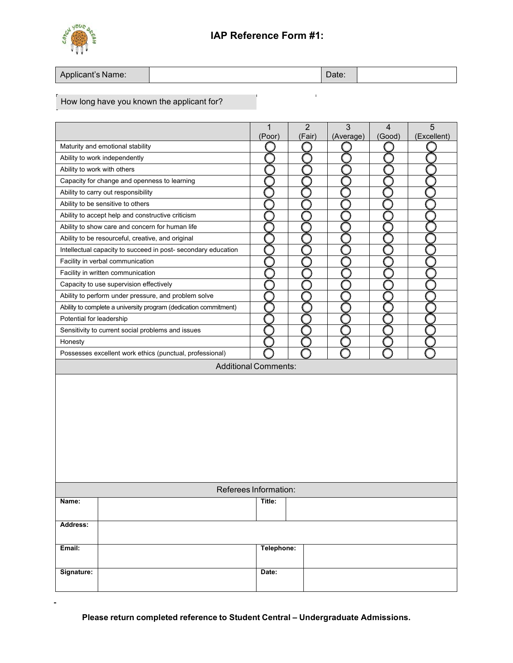

 $\overline{1}$ 

| Applicant's Name: |  | Date: |  |
|-------------------|--|-------|--|
|-------------------|--|-------|--|

# How long have you known the applicant for?

|                             |                                                                  | $\mathbf{1}$<br>(Poor)      | $\overline{2}$<br>(Fair) | 3<br>(Average) | 4<br>(Good) | 5<br>(Excellent) |  |  |
|-----------------------------|------------------------------------------------------------------|-----------------------------|--------------------------|----------------|-------------|------------------|--|--|
|                             | Maturity and emotional stability                                 |                             |                          |                |             |                  |  |  |
|                             | Ability to work independently                                    |                             |                          |                |             |                  |  |  |
| Ability to work with others |                                                                  |                             |                          |                |             |                  |  |  |
|                             | Capacity for change and openness to learning                     |                             |                          |                |             |                  |  |  |
|                             | Ability to carry out responsibility                              |                             |                          |                |             |                  |  |  |
|                             | Ability to be sensitive to others                                |                             |                          |                |             |                  |  |  |
|                             | Ability to accept help and constructive criticism                |                             |                          |                |             |                  |  |  |
|                             | Ability to show care and concern for human life                  |                             |                          |                |             |                  |  |  |
|                             | Ability to be resourceful, creative, and original                |                             |                          |                |             |                  |  |  |
|                             | Intellectual capacity to succeed in post- secondary education    |                             |                          |                |             |                  |  |  |
|                             | Facility in verbal communication                                 |                             |                          |                |             |                  |  |  |
|                             | Facility in written communication                                |                             |                          |                |             |                  |  |  |
|                             | Capacity to use supervision effectively                          |                             |                          |                |             |                  |  |  |
|                             | Ability to perform under pressure, and problem solve             |                             |                          |                |             |                  |  |  |
|                             | Ability to complete a university program (dedication commitment) |                             |                          |                |             |                  |  |  |
| Potential for leadership    |                                                                  |                             |                          |                |             |                  |  |  |
|                             | Sensitivity to current social problems and issues                |                             |                          |                |             |                  |  |  |
| Honesty                     |                                                                  |                             |                          |                |             |                  |  |  |
|                             | Possesses excellent work ethics (punctual, professional)         |                             |                          |                |             |                  |  |  |
|                             |                                                                  | <b>Additional Comments:</b> |                          |                |             |                  |  |  |
|                             |                                                                  |                             |                          |                |             |                  |  |  |
|                             | Referees Information:                                            |                             |                          |                |             |                  |  |  |
| Name:                       |                                                                  | Title:                      |                          |                |             |                  |  |  |
| Address:                    |                                                                  |                             |                          |                |             |                  |  |  |
|                             |                                                                  |                             |                          |                |             |                  |  |  |
| Email:                      |                                                                  | Telephone:                  |                          |                |             |                  |  |  |
| Signature:                  |                                                                  | Date:                       |                          |                |             |                  |  |  |

**Please return completed reference to Student Central – Undergraduate Admissions.**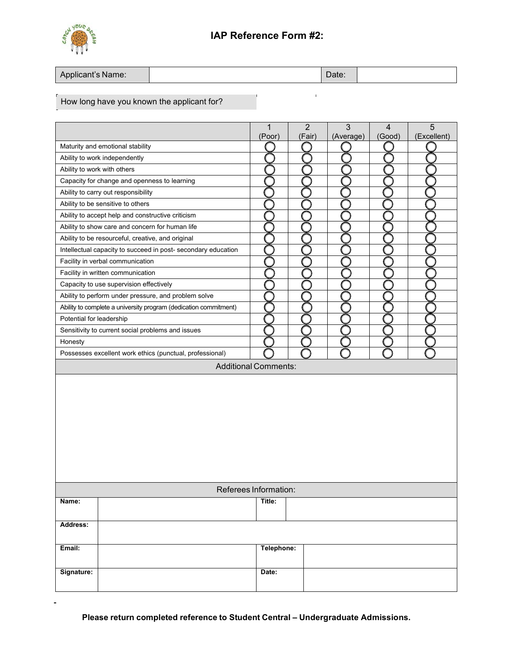

| Applicant's Name: | Date: |
|-------------------|-------|
|-------------------|-------|

# How long have you known the applicant for?

|                             |                                                                  | $\mathbf{1}$<br>(Poor)      | $\overline{2}$<br>(Fair) |  | 3<br>(Average) | $\overline{4}$<br>(Good) | 5<br>(Excellent) |
|-----------------------------|------------------------------------------------------------------|-----------------------------|--------------------------|--|----------------|--------------------------|------------------|
|                             | Maturity and emotional stability                                 |                             |                          |  |                |                          |                  |
|                             | Ability to work independently                                    |                             |                          |  |                |                          |                  |
| Ability to work with others |                                                                  |                             |                          |  |                |                          |                  |
|                             | Capacity for change and openness to learning                     |                             |                          |  |                |                          |                  |
|                             | Ability to carry out responsibility                              |                             |                          |  |                |                          |                  |
|                             | Ability to be sensitive to others                                |                             |                          |  |                |                          |                  |
|                             | Ability to accept help and constructive criticism                |                             |                          |  |                |                          |                  |
|                             | Ability to show care and concern for human life                  |                             |                          |  |                |                          |                  |
|                             | Ability to be resourceful, creative, and original                |                             |                          |  |                |                          |                  |
|                             | Intellectual capacity to succeed in post- secondary education    |                             |                          |  |                |                          |                  |
|                             | Facility in verbal communication                                 |                             |                          |  |                |                          |                  |
|                             | Facility in written communication                                |                             |                          |  |                |                          |                  |
|                             | Capacity to use supervision effectively                          |                             |                          |  |                |                          |                  |
|                             | Ability to perform under pressure, and problem solve             |                             |                          |  |                |                          |                  |
|                             | Ability to complete a university program (dedication commitment) |                             |                          |  |                |                          |                  |
| Potential for leadership    |                                                                  |                             |                          |  |                |                          |                  |
|                             | Sensitivity to current social problems and issues                |                             |                          |  |                |                          |                  |
| Honesty                     |                                                                  |                             |                          |  |                |                          |                  |
|                             | Possesses excellent work ethics (punctual, professional)         |                             |                          |  |                |                          |                  |
|                             |                                                                  | <b>Additional Comments:</b> |                          |  |                |                          |                  |
|                             |                                                                  |                             |                          |  |                |                          |                  |
|                             | Referees Information:                                            |                             |                          |  |                |                          |                  |
| Name:                       |                                                                  | Title:                      |                          |  |                |                          |                  |
| Address:                    |                                                                  |                             |                          |  |                |                          |                  |
| Email:                      |                                                                  | Telephone:                  |                          |  |                |                          |                  |
| Signature:                  |                                                                  | Date:                       |                          |  |                |                          |                  |

**Please return completed reference to Student Central – Undergraduate Admissions.**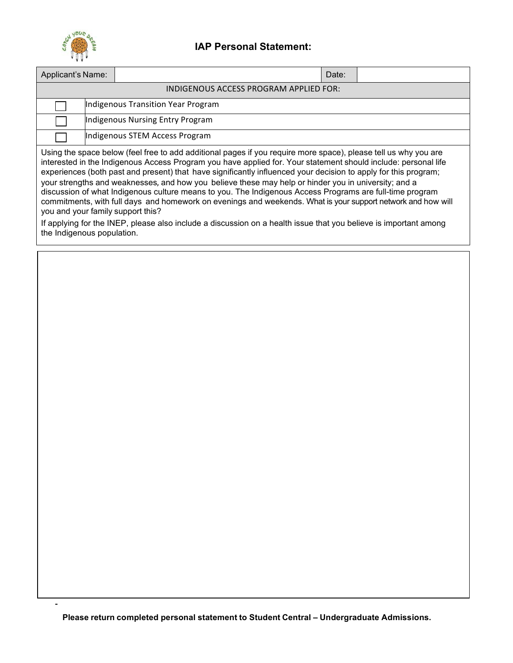

Ĭ,

# **IAP Personal Statement:**

| Applicant's Name:                                                                                                                                                                                                                                                                                                                                                                                                                                                                                                                                                                                                                                                                                                             |                                        |  |  |  | Date: |  |  |  |  |
|-------------------------------------------------------------------------------------------------------------------------------------------------------------------------------------------------------------------------------------------------------------------------------------------------------------------------------------------------------------------------------------------------------------------------------------------------------------------------------------------------------------------------------------------------------------------------------------------------------------------------------------------------------------------------------------------------------------------------------|----------------------------------------|--|--|--|-------|--|--|--|--|
|                                                                                                                                                                                                                                                                                                                                                                                                                                                                                                                                                                                                                                                                                                                               | INDIGENOUS ACCESS PROGRAM APPLIED FOR: |  |  |  |       |  |  |  |  |
|                                                                                                                                                                                                                                                                                                                                                                                                                                                                                                                                                                                                                                                                                                                               | Indigenous Transition Year Program     |  |  |  |       |  |  |  |  |
|                                                                                                                                                                                                                                                                                                                                                                                                                                                                                                                                                                                                                                                                                                                               | Indigenous Nursing Entry Program       |  |  |  |       |  |  |  |  |
|                                                                                                                                                                                                                                                                                                                                                                                                                                                                                                                                                                                                                                                                                                                               | Indigenous STEM Access Program         |  |  |  |       |  |  |  |  |
| Using the space below (feel free to add additional pages if you require more space), please tell us why you are<br>interested in the Indigenous Access Program you have applied for. Your statement should include: personal life<br>experiences (both past and present) that have significantly influenced your decision to apply for this program;<br>your strengths and weaknesses, and how you believe these may help or hinder you in university; and a<br>discussion of what Indigenous culture means to you. The Indigenous Access Programs are full-time program<br>commitments, with full days and homework on evenings and weekends. What is your support network and how will<br>you and your family support this? |                                        |  |  |  |       |  |  |  |  |

If applying for the INEP, please also include a discussion on a health issue that you believe is important among the Indigenous population.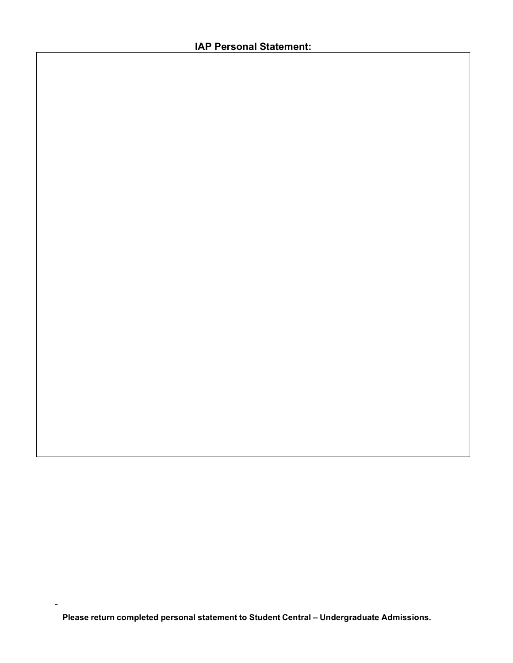**Please return completed personal statement to Student Central – Undergraduate Admissions.**